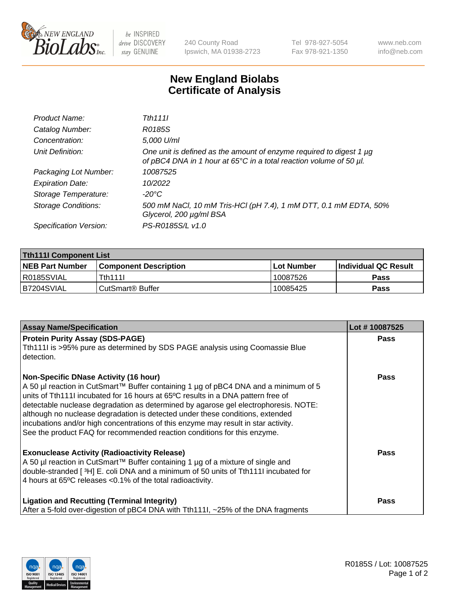

 $be$  INSPIRED drive DISCOVERY stay GENUINE

240 County Road Ipswich, MA 01938-2723 Tel 978-927-5054 Fax 978-921-1350 www.neb.com info@neb.com

## **New England Biolabs Certificate of Analysis**

| Product Name:              | Tth 1111                                                                                                                                                 |
|----------------------------|----------------------------------------------------------------------------------------------------------------------------------------------------------|
| Catalog Number:            | R0185S                                                                                                                                                   |
| Concentration:             | 5,000 U/ml                                                                                                                                               |
| Unit Definition:           | One unit is defined as the amount of enzyme required to digest 1 µg<br>of pBC4 DNA in 1 hour at $65^{\circ}$ C in a total reaction volume of 50 $\mu$ l. |
| Packaging Lot Number:      | 10087525                                                                                                                                                 |
| <b>Expiration Date:</b>    | 10/2022                                                                                                                                                  |
| Storage Temperature:       | -20°C                                                                                                                                                    |
| <b>Storage Conditions:</b> | 500 mM NaCl, 10 mM Tris-HCl (pH 7.4), 1 mM DTT, 0.1 mM EDTA, 50%<br>Glycerol, 200 µg/ml BSA                                                              |
| Specification Version:     | PS-R0185S/L v1.0                                                                                                                                         |

| <b>Tth111I Component List</b> |                         |              |                             |  |  |
|-------------------------------|-------------------------|--------------|-----------------------------|--|--|
| <b>NEB Part Number</b>        | l Component Description | l Lot Number | <b>Individual QC Result</b> |  |  |
| IR0185SVIAL                   | <b>Tth1111</b>          | 10087526     | Pass                        |  |  |
| IB7204SVIAL                   | i CutSmart® Buffer_     | 10085425     | Pass                        |  |  |

| <b>Assay Name/Specification</b>                                                                                                                                                                                                                                                                                                                                                                                                                                                                                                                                   | Lot #10087525 |
|-------------------------------------------------------------------------------------------------------------------------------------------------------------------------------------------------------------------------------------------------------------------------------------------------------------------------------------------------------------------------------------------------------------------------------------------------------------------------------------------------------------------------------------------------------------------|---------------|
| <b>Protein Purity Assay (SDS-PAGE)</b><br>Tth111I is >95% pure as determined by SDS PAGE analysis using Coomassie Blue<br>detection.                                                                                                                                                                                                                                                                                                                                                                                                                              | Pass          |
| <b>Non-Specific DNase Activity (16 hour)</b><br>A 50 µl reaction in CutSmart™ Buffer containing 1 µg of pBC4 DNA and a minimum of 5<br>units of Tth1111 incubated for 16 hours at 65°C results in a DNA pattern free of<br>detectable nuclease degradation as determined by agarose gel electrophoresis. NOTE:<br>although no nuclease degradation is detected under these conditions, extended<br>incubations and/or high concentrations of this enzyme may result in star activity.<br>See the product FAQ for recommended reaction conditions for this enzyme. | Pass          |
| <b>Exonuclease Activity (Radioactivity Release)</b><br>A 50 µl reaction in CutSmart™ Buffer containing 1 µg of a mixture of single and<br>double-stranded [3H] E. coli DNA and a minimum of 50 units of Tth111I incubated for<br>4 hours at 65°C releases < 0.1% of the total radioactivity.                                                                                                                                                                                                                                                                      | Pass          |
| <b>Ligation and Recutting (Terminal Integrity)</b><br>After a 5-fold over-digestion of pBC4 DNA with Tth1111, ~25% of the DNA fragments                                                                                                                                                                                                                                                                                                                                                                                                                           | Pass          |